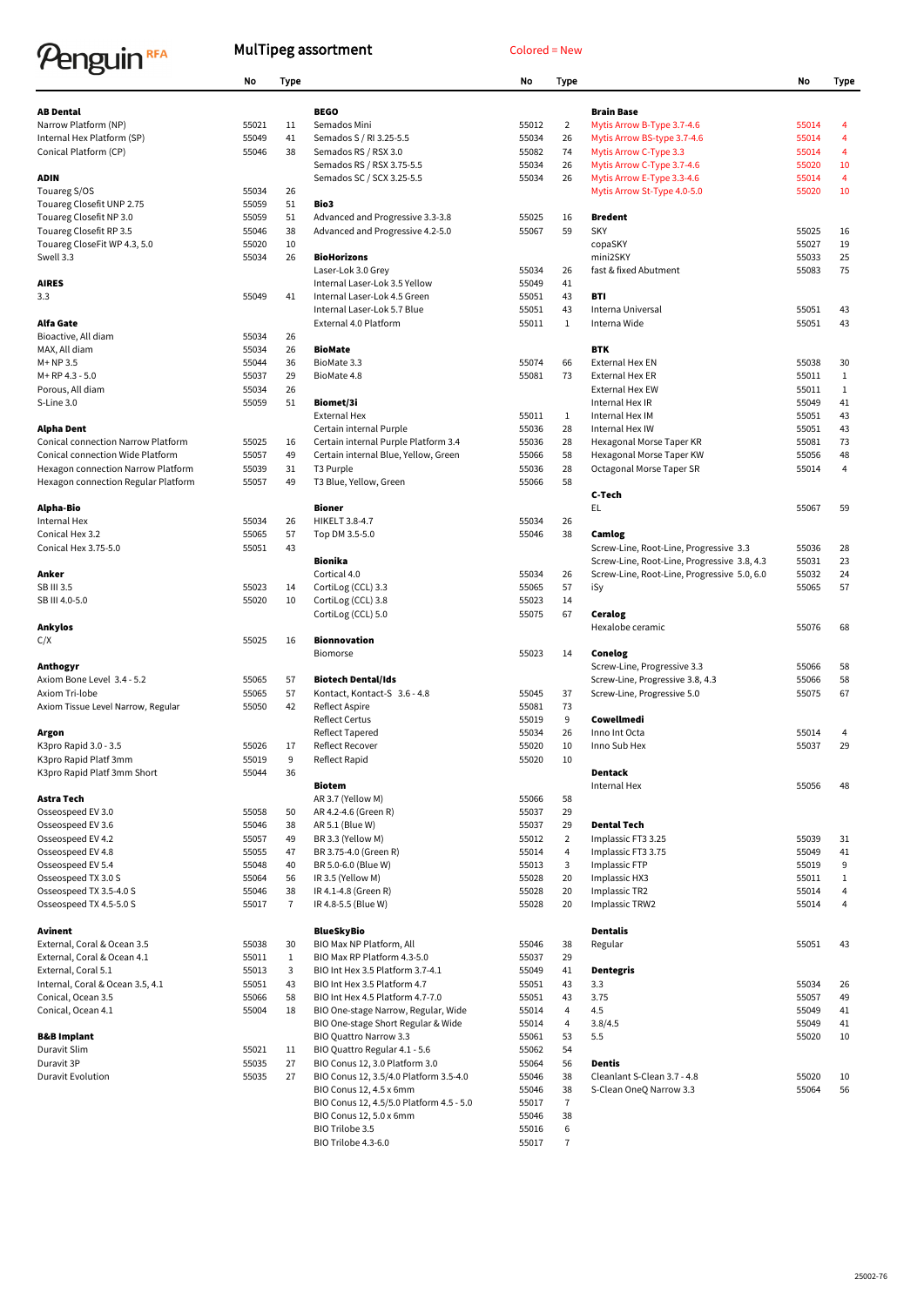## Penguin<sup>RFA</sup>

## MulTipeg assortment Colored = New

|                                           | <b>No</b>      | <b>Type</b>    |                                           | <b>No</b> | <b>Type</b>    |                                             | No             | <b>Type</b>    |
|-------------------------------------------|----------------|----------------|-------------------------------------------|-----------|----------------|---------------------------------------------|----------------|----------------|
|                                           |                |                |                                           |           |                |                                             |                |                |
| <b>AB Dental</b>                          |                |                | <b>BEGO</b>                               |           |                | <b>Brain Base</b>                           |                |                |
| Narrow Platform (NP)                      | 55021          | 11             | Semados Mini                              | 55012     | $\overline{2}$ | Mytis Arrow B-Type 3.7-4.6                  | 55014          |                |
| Internal Hex Platform (SP)                | 55049          | 41             | Semados S / RI 3.25-5.5                   | 55034     | 26             | Mytis Arrow BS-type 3.7-4.6                 | 55014          | $\overline{4}$ |
| Conical Platform (CP)                     | 55046          | 38             | Semados RS / RSX 3.0                      | 55082     | 74             | Mytis Arrow C-Type 3.3                      | 55014          | 4              |
|                                           |                |                | Semados RS / RSX 3.75-5.5                 | 55034     | 26             | Mytis Arrow C-Type 3.7-4.6                  | 55020          | 10             |
| <b>ADIN</b>                               |                |                | Semados SC / SCX 3.25-5.5                 | 55034     | 26             | Mytis Arrow E-Type 3.3-4.6                  | 55014          | 4              |
| Touareg S/OS                              | 55034          | 26             |                                           |           |                | Mytis Arrow St-Type 4.0-5.0                 | 55020          | 10             |
| Touareg Closefit UNP 2.75                 | 55059          | 51             | Bio3                                      |           |                |                                             |                |                |
| Touareg Closefit NP 3.0                   | 55059          | 51             | Advanced and Progressive 3.3-3.8          | 55025     | 16             | <b>Bredent</b>                              |                |                |
| Touareg Closefit RP 3.5                   | 55046          | 38             | Advanced and Progressive 4.2-5.0          | 55067     | 59             | <b>SKY</b>                                  | 55025          | 16             |
| Touareg CloseFit WP 4.3, 5.0<br>Swell 3.3 | 55020<br>55034 | 10<br>26       | <b>BioHorizons</b>                        |           |                | copaSKY<br>mini2SKY                         | 55027<br>55033 | 19<br>25       |
|                                           |                |                | Laser-Lok 3.0 Grey                        | 55034     | 26             | fast & fixed Abutment                       | 55083          | 75             |
| <b>AIRES</b>                              |                |                | Internal Laser-Lok 3.5 Yellow             | 55049     | 41             |                                             |                |                |
| 3.3                                       | 55049          | 41             | Internal Laser-Lok 4.5 Green              | 55051     | 43             | <b>BTI</b>                                  |                |                |
|                                           |                |                | Internal Laser-Lok 5.7 Blue               | 55051     | 43             | Interna Universal                           | 55051          | 43             |
| <b>Alfa Gate</b>                          |                |                | External 4.0 Platform                     | 55011     | $\mathbf{1}$   | Interna Wide                                | 55051          | 43             |
| Bioactive, All diam                       | 55034          | 26             |                                           |           |                |                                             |                |                |
| MAX, All diam                             | 55034          | 26             | <b>BioMate</b>                            |           |                | <b>BTK</b>                                  |                |                |
| M+NP3.5                                   | 55044          | 36             | BioMate 3.3                               | 55074     | 66             | <b>External Hex EN</b>                      | 55038          | 30             |
| M+RP 4.3 - 5.0                            | 55037          | 29             | BioMate 4.8                               | 55081     | 73             | <b>External Hex ER</b>                      | 55011          | $\mathbf{1}$   |
| Porous, All diam                          | 55034          | 26             |                                           |           |                | <b>External Hex EW</b>                      | 55011          | 1              |
| S-Line 3.0                                | 55059          | 51             | <b>Biomet/3i</b>                          |           |                | Internal Hex IR                             | 55049          | 41             |
|                                           |                |                | <b>External Hex</b>                       | 55011     | $\mathbf{1}$   | Internal Hex IM                             | 55051          | 43             |
| <b>Alpha Dent</b>                         |                |                | Certain internal Purple                   | 55036     | 28             | Internal Hex IW                             | 55051          | 43             |
| <b>Conical connection Narrow Platform</b> | 55025          | 16             | Certain internal Purple Platform 3.4      | 55036     | 28             | Hexagonal Morse Taper KR                    | 55081          | 73             |
| Conical connection Wide Platform          | 55057          | 49             | Certain internal Blue, Yellow, Green      | 55066     | 58             | Hexagonal Morse Taper KW                    | 55056          | 48             |
| Hexagon connection Narrow Platform        | 55039          | 31             | T3 Purple                                 | 55036     | 28             | Octagonal Morse Taper SR                    | 55014          | 4              |
| Hexagon connection Regular Platform       | 55057          | 49             | T3 Blue, Yellow, Green                    | 55066     | 58             |                                             |                |                |
|                                           |                |                |                                           |           |                | C-Tech                                      |                |                |
| <b>Alpha-Bio</b>                          |                |                | <b>Bioner</b>                             |           |                | EL.                                         | 55067          | 59             |
| Internal Hex                              | 55034          | 26             | HIKELT 3.8-4.7                            | 55034     | 26             |                                             |                |                |
| Conical Hex 3.2                           | 55065          | 57             | Top DM 3.5-5.0                            | 55046     | 38             | Camlog                                      |                |                |
| Conical Hex 3.75-5.0                      | 55051          | 43             |                                           |           |                | Screw-Line, Root-Line, Progressive 3.3      | 55036          | 28             |
|                                           |                |                | <b>Bionika</b>                            |           |                | Screw-Line, Root-Line, Progressive 3.8, 4.3 | 55031          | 23             |
| Anker                                     |                |                | Cortical 4.0                              | 55034     | 26             | Screw-Line, Root-Line, Progressive 5.0, 6.0 | 55032          | 24             |
| SB III 3.5                                | 55023          | 14             | CortiLog (CCL) 3.3                        | 55065     | 57             | iSy                                         | 55065          | 57             |
| SB III 4.0-5.0                            | 55020          | 10             | CortiLog (CCL) 3.8                        | 55023     | 14             |                                             |                |                |
|                                           |                |                | CortiLog (CCL) 5.0                        | 55075     | 67             | <b>Ceralog</b>                              |                |                |
| <b>Ankylos</b>                            |                |                |                                           |           |                | Hexalobe ceramic                            | 55076          | 68             |
| C/X                                       | 55025          | 16             | <b>Bionnovation</b>                       |           |                |                                             |                |                |
|                                           |                |                | <b>Biomorse</b>                           | 55023     | 14             | <b>Conelog</b>                              |                |                |
| Anthogyr                                  |                |                |                                           |           |                | Screw-Line, Progressive 3.3                 | 55066          | 58             |
| Axiom Bone Level 3.4 - 5.2                | 55065          | 57             | <b>Biotech Dental/Ids</b>                 |           |                | Screw-Line, Progressive 3.8, 4.3            | 55066          | 58             |
| Axiom Tri-lobe                            | 55065          | 57             | Kontact, Kontact-S 3.6 - 4.8              | 55045     | 37             | Screw-Line, Progressive 5.0                 | 55075          | 67             |
| Axiom Tissue Level Narrow, Regular        | 55050          | 42             | Reflect Aspire                            | 55081     | 73             |                                             |                |                |
|                                           |                |                | <b>Reflect Certus</b>                     | 55019     | 9              | Cowellmedi                                  |                |                |
| Argon                                     |                |                | Reflect Tapered                           | 55034     | 26             | Inno Int Octa                               | 55014          | 4              |
| K3pro Rapid 3.0 - 3.5                     | 55026          | 17             | <b>Reflect Recover</b>                    | 55020     | 10             | Inno Sub Hex                                | 55037          | 29             |
| K3pro Rapid Platf 3mm                     | 55019          | 9              | Reflect Rapid                             | 55020     | 10             |                                             |                |                |
| K3pro Rapid Platf 3mm Short               | 55044          | 36             |                                           |           |                | <b>Dentack</b>                              |                |                |
| Astra Tech                                |                |                | <b>Biotem</b>                             | 55066     |                | Internal Hex                                | 55056          | 48             |
| Osseospeed EV 3.0                         | 55058          | 50             | AR 3.7 (Yellow M)<br>AR 4.2-4.6 (Green R) | 55037     | 58<br>29       |                                             |                |                |
| Osseospeed EV 3.6                         | 55046          | 38             | AR 5.1 (Blue W)                           | 55037     | 29             | <b>Dental Tech</b>                          |                |                |
| Osseospeed EV 4.2                         | 55057          | 49             | BR 3.3 (Yellow M)                         | 55012     | $\overline{2}$ | Implassic FT3 3.25                          | 55039          | 31             |
| Osseospeed EV 4.8                         | 55055          | 47             | BR 3.75-4.0 (Green R)                     | 55014     | $\overline{4}$ | Implassic FT3 3.75                          | 55049          | 41             |
| Osseospeed EV 5.4                         | 55048          | 40             | BR 5.0-6.0 (Blue W)                       | 55013     | 3              | Implassic FTP                               | 55019          | 9              |
| Osseospeed TX 3.0 S                       | 55064          | 56             | IR 3.5 (Yellow M)                         | 55028     | 20             | Implassic HX3                               | 55011          | 1              |
| Osseospeed TX 3.5-4.0 S                   | 55046          | 38             | IR 4.1-4.8 (Green R)                      | 55028     | 20             | Implassic TR2                               | 55014          |                |
| Osseospeed TX 4.5-5.0 S                   | 55017          | $\overline{7}$ | IR 4.8-5.5 (Blue W)                       | 55028     | 20             | Implassic TRW2                              | 55014          | 4              |
|                                           |                |                |                                           |           |                |                                             |                |                |
| <b>Avinent</b>                            |                |                | <b>BlueSkyBio</b>                         |           |                | <b>Dentalis</b>                             |                |                |
| External, Coral & Ocean 3.5               | 55038          | 30             | BIO Max NP Platform, All                  | 55046     | 38             | Regular                                     | 55051          | 43             |
| External, Coral & Ocean 4.1               | 55011          | $\mathbf{1}$   | BIO Max RP Platform 4.3-5.0               | 55037     | 29             |                                             |                |                |
| External, Coral 5.1                       | 55013          | 3              | BIO Int Hex 3.5 Platform 3.7-4.1          | 55049     | 41             | <b>Dentegris</b>                            |                |                |
| Internal, Coral & Ocean 3.5, 4.1          | 55051          | 43             | BIO Int Hex 3.5 Platform 4.7              | 55051     | 43             | 3.3                                         | 55034          | 26             |
| Conical, Ocean 3.5                        | 55066          | 58             | BIO Int Hex 4.5 Platform 4.7-7.0          | 55051     | 43             | 3.75                                        | 55057          | 49             |
| Conical, Ocean 4.1                        | 55004          | 18             | BIO One-stage Narrow, Regular, Wide       | 55014     | 4              | 4.5                                         | 55049          | 41             |
|                                           |                |                | BIO One-stage Short Regular & Wide        | 55014     | 4              | 3.8/4.5                                     | 55049          | 41             |
| <b>B&amp;B Implant</b>                    |                |                | <b>BIO Quattro Narrow 3.3</b>             | 55061     | 53             | 5.5                                         | 55020          | 10             |
| Duravit Slim                              | 55021          | 11             | BIO Quattro Regular 4.1 - 5.6             | 55062     | 54             |                                             |                |                |
| Duravit 3P                                | 55035          | 27             | BIO Conus 12, 3.0 Platform 3.0            | 55064     | 56             | <b>Dentis</b>                               |                |                |
| Duravit Evolution                         | 55035          | 27             | BIO Conus 12, 3.5/4.0 Platform 3.5-4.0    | 55046     | 38             | Cleanlant S-Clean 3.7 - 4.8                 | 55020          | 10             |
|                                           |                |                | BIO Conus 12, 4.5 x 6mm                   | 55046     | 38             | S-Clean OneQ Narrow 3.3                     | 55064          | 56             |
|                                           |                |                | BIO Conus 12, 4.5/5.0 Platform 4.5 - 5.0  | 55017     | $\overline{7}$ |                                             |                |                |
|                                           |                |                | BIO Conus 12, 5.0 x 6mm                   | 55046     | 38             |                                             |                |                |
|                                           |                |                | BIO Trilobe 3.5                           | 55016     | $\,6$          |                                             |                |                |
|                                           |                |                | BIO Trilobe 4.3-6.0                       | 55017     | $\overline{7}$ |                                             |                |                |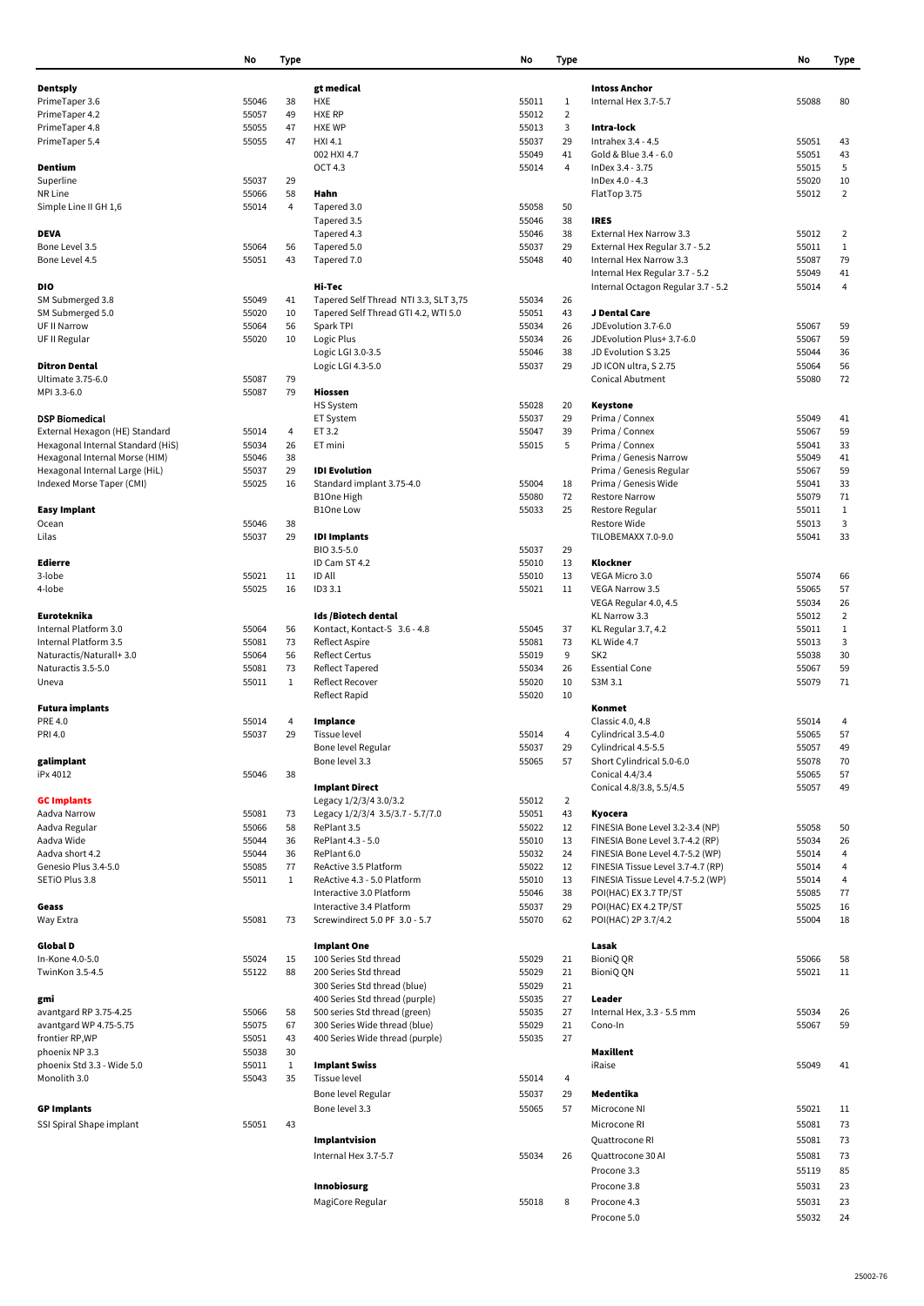|                                   | No    | <b>Type</b>  |                                       | No    | <b>Type</b>    |                                    | No    | <b>Type</b>    |
|-----------------------------------|-------|--------------|---------------------------------------|-------|----------------|------------------------------------|-------|----------------|
|                                   |       |              |                                       |       |                |                                    |       |                |
| <b>Dentsply</b>                   |       |              | gt medical                            |       |                | <b>Intoss Anchor</b>               |       |                |
| PrimeTaper 3.6                    | 55046 | 38           | <b>HXE</b>                            | 55011 | 1              | Internal Hex 3.7-5.7               | 55088 | 80             |
| PrimeTaper 4.2                    | 55057 | 49           | <b>HXE RP</b>                         | 55012 | $\overline{2}$ |                                    |       |                |
| PrimeTaper 4.8                    | 55055 | 47           | <b>HXE WP</b>                         | 55013 | 3              | Intra-lock                         |       |                |
| PrimeTaper 5.4                    | 55055 | 47           | <b>HXI 4.1</b>                        | 55037 | 29             | Intrahex 3.4 - 4.5                 | 55051 | 43             |
|                                   |       |              | 002 HXI 4.7                           | 55049 | 41             | Gold & Blue 3.4 - 6.0              | 55051 | 43             |
| Dentium                           |       |              | <b>OCT 4.3</b>                        | 55014 | 4              | InDex 3.4 - 3.75                   | 55015 | 5              |
| Superline                         | 55037 | 29           |                                       |       |                | InDex 4.0 - 4.3                    | 55020 | 10             |
| NR Line                           | 55066 | 58           | Hahn                                  |       |                | FlatTop 3.75                       | 55012 | $\overline{2}$ |
|                                   |       |              |                                       |       |                |                                    |       |                |
| Simple Line II GH 1,6             | 55014 | 4            | Tapered 3.0                           | 55058 | 50             |                                    |       |                |
|                                   |       |              | Tapered 3.5                           | 55046 | 38             | <b>IRES</b>                        |       |                |
| <b>DEVA</b>                       |       |              | Tapered 4.3                           | 55046 | 38             | External Hex Narrow 3.3            | 55012 | $\overline{2}$ |
| Bone Level 3.5                    | 55064 | 56           | Tapered 5.0                           | 55037 | 29             | External Hex Regular 3.7 - 5.2     | 55011 | $\mathbf{1}$   |
| Bone Level 4.5                    | 55051 | 43           | Tapered 7.0                           | 55048 | 40             | Internal Hex Narrow 3.3            | 55087 | 79             |
|                                   |       |              |                                       |       |                | Internal Hex Regular 3.7 - 5.2     | 55049 | 41             |
| <b>DIO</b>                        |       |              | Hi-Tec                                |       |                | Internal Octagon Regular 3.7 - 5.2 | 55014 | 4              |
| SM Submerged 3.8                  | 55049 | 41           | Tapered Self Thread NTI 3.3, SLT 3,75 | 55034 | 26             |                                    |       |                |
| SM Submerged 5.0                  | 55020 | 10           | Tapered Self Thread GTI 4.2, WTI 5.0  | 55051 | 43             | J Dental Care                      |       |                |
| UF II Narrow                      | 55064 | 56           | Spark TPI                             | 55034 | 26             | JDEvolution 3.7-6.0                | 55067 | 59             |
|                                   |       |              |                                       |       |                |                                    |       |                |
| UF II Regular                     | 55020 | 10           | Logic Plus                            | 55034 | 26             | JDEvolution Plus+ 3.7-6.0          | 55067 | 59             |
|                                   |       |              | Logic LGI 3.0-3.5                     | 55046 | 38             | JD Evolution S 3.25                | 55044 | 36             |
| <b>Ditron Dental</b>              |       |              | Logic LGI 4.3-5.0                     | 55037 | 29             | JD ICON ultra, S 2.75              | 55064 | 56             |
| Ultimate 3.75-6.0                 | 55087 | 79           |                                       |       |                | <b>Conical Abutment</b>            | 55080 | 72             |
| MPI 3.3-6.0                       | 55087 | 79           | <b>Hiossen</b>                        |       |                |                                    |       |                |
|                                   |       |              | <b>HS System</b>                      | 55028 | 20             | <b>Keystone</b>                    |       |                |
| <b>DSP Biomedical</b>             |       |              | ET System                             | 55037 | 29             | Prima / Connex                     | 55049 | 41             |
| External Hexagon (HE) Standard    | 55014 | 4            | ET 3.2                                | 55047 | 39             | Prima / Connex                     | 55067 | 59             |
| Hexagonal Internal Standard (HiS) | 55034 | 26           | ET mini                               | 55015 | 5              | Prima / Connex                     | 55041 | 33             |
| Hexagonal Internal Morse (HIM)    | 55046 | 38           |                                       |       |                | Prima / Genesis Narrow             | 55049 | 41             |
| Hexagonal Internal Large (HiL)    | 55037 | 29           | <b>IDI</b> Evolution                  |       |                | Prima / Genesis Regular            | 55067 | 59             |
|                                   |       |              |                                       |       |                |                                    |       |                |
| Indexed Morse Taper (CMI)         | 55025 | 16           | Standard implant 3.75-4.0             | 55004 | 18             | Prima / Genesis Wide               | 55041 | 33             |
|                                   |       |              | B1One High                            | 55080 | 72             | <b>Restore Narrow</b>              | 55079 | 71             |
| <b>Easy Implant</b>               |       |              | <b>B1One Low</b>                      | 55033 | 25             | Restore Regular                    | 55011 | 1              |
| <b>Ocean</b>                      | 55046 | 38           |                                       |       |                | Restore Wide                       | 55013 | 3              |
| Lilas                             | 55037 | 29           | <b>IDI Implants</b>                   |       |                | TILOBEMAXX 7.0-9.0                 | 55041 | 33             |
|                                   |       |              | BIO 3.5-5.0                           | 55037 | 29             |                                    |       |                |
| <b>Edierre</b>                    |       |              | ID Cam ST 4.2                         | 55010 | 13             | Klockner                           |       |                |
| 3-lobe                            | 55021 | 11           | <b>ID All</b>                         | 55010 | 13             | VEGA Micro 3.0                     | 55074 | 66             |
| 4-lobe                            | 55025 | 16           | ID3 3.1                               | 55021 | 11             | <b>VEGA Narrow 3.5</b>             | 55065 | 57             |
|                                   |       |              |                                       |       |                | VEGA Regular 4.0, 4.5              | 55034 | 26             |
| Euroteknika                       |       |              | Ids /Biotech dental                   |       |                | KL Narrow 3.3                      | 55012 | $\overline{2}$ |
| Internal Platform 3.0             | 55064 | 56           | Kontact, Kontact-S 3.6 - 4.8          | 55045 |                |                                    | 55011 | $\mathbf{1}$   |
|                                   |       |              |                                       |       | 37             | KL Regular 3.7, 4.2                |       |                |
| Internal Platform 3.5             | 55081 | 73           | Reflect Aspire                        | 55081 | 73             | KL Wide 4.7                        | 55013 | 3              |
| Naturactis/Naturall+3.0           | 55064 | 56           | <b>Reflect Certus</b>                 | 55019 | 9              | SK <sub>2</sub>                    | 55038 | 30             |
| Naturactis 3.5-5.0                | 55081 | 73           | Reflect Tapered                       | 55034 | 26             | <b>Essential Cone</b>              | 55067 | 59             |
| Uneva                             | 55011 | $\mathbf{1}$ | <b>Reflect Recover</b>                | 55020 | 10             | S3M 3.1                            | 55079 | 71             |
|                                   |       |              | <b>Reflect Rapid</b>                  | 55020 | 10             |                                    |       |                |
| <b>Futura implants</b>            |       |              |                                       |       |                | Konmet                             |       |                |
| <b>PRE 4.0</b>                    | 55014 | 4            | Implance                              |       |                | Classic 4.0, 4.8                   | 55014 | 4              |
| PRI 4.0                           | 55037 | 29           | Tissue level                          | 55014 | 4              | Cylindrical 3.5-4.0                | 55065 | 57             |
|                                   |       |              | Bone level Regular                    | 55037 | 29             | Cylindrical 4.5-5.5                | 55057 | 49             |
| galimplant                        |       |              | Bone level 3.3                        | 55065 | 57             | Short Cylindrical 5.0-6.0          | 55078 | 70             |
| iPx 4012                          | 55046 | 38           |                                       |       |                |                                    |       | 57             |
|                                   |       |              |                                       |       |                | Conical 4.4/3.4                    | 55065 |                |
|                                   |       |              | <b>Implant Direct</b>                 |       |                | Conical 4.8/3.8, 5.5/4.5           | 55057 | 49             |
| <b>GC Implants</b>                |       |              | Legacy 1/2/3/4 3.0/3.2                | 55012 | $\overline{2}$ |                                    |       |                |
| Aadva Narrow                      | 55081 | 73           | Legacy 1/2/3/4 3.5/3.7 - 5.7/7.0      | 55051 | 43             | Kyocera                            |       |                |
| Aadva Regular                     | 55066 | 58           | RePlant 3.5                           | 55022 | 12             | FINESIA Bone Level 3.2-3.4 (NP)    | 55058 | 50             |
| Aadva Wide                        | 55044 | 36           | RePlant 4.3 - 5.0                     | 55010 | 13             | FINESIA Bone Level 3.7-4.2 (RP)    | 55034 | 26             |
| Aadva short 4.2                   | 55044 | 36           | RePlant 6.0                           | 55032 | 24             | FINESIA Bone Level 4.7-5.2 (WP)    | 55014 | 4              |
| Genesio Plus 3.4-5.0              | 55085 | 77           | ReActive 3.5 Platform                 | 55022 | 12             | FINESIA Tissue Level 3.7-4.7 (RP)  | 55014 | 4              |
| SETIO Plus 3.8                    | 55011 | 1            | ReActive 4.3 - 5.0 Platform           | 55010 | 13             | FINESIA Tissue Level 4.7-5.2 (WP)  | 55014 | 4              |
|                                   |       |              | Interactive 3.0 Platform              | 55046 | 38             | POI(HAC) EX 3.7 TP/ST              | 55085 | 77             |
| Geass                             |       |              | Interactive 3.4 Platform              | 55037 | 29             | POI(HAC) EX 4.2 TP/ST              | 55025 | 16             |
| Way Extra                         | 55081 | 73           | Screwindirect 5.0 PF 3.0 - 5.7        | 55070 | 62             | POI(HAC) 2P 3.7/4.2                | 55004 | 18             |
|                                   |       |              |                                       |       |                |                                    |       |                |
| <b>Global D</b>                   |       |              | <b>Implant One</b>                    |       |                | Lasak                              |       |                |
|                                   |       |              |                                       |       |                |                                    |       |                |
| In-Kone 4.0-5.0                   | 55024 | 15           | 100 Series Std thread                 | 55029 | 21             | <b>BioniQ QR</b>                   | 55066 | 58             |
| TwinKon 3.5-4.5                   | 55122 | 88           | 200 Series Std thread                 | 55029 | 21             | <b>BioniQ QN</b>                   | 55021 | 11             |
|                                   |       |              | 300 Series Std thread (blue)          | 55029 | 21             |                                    |       |                |
| gmi                               |       |              | 400 Series Std thread (purple)        | 55035 | 27             | Leader                             |       |                |
| avantgard RP 3.75-4.25            | 55066 | 58           | 500 series Std thread (green)         | 55035 | 27             | Internal Hex, 3.3 - 5.5 mm         | 55034 | 26             |
| avantgard WP 4.75-5.75            | 55075 | 67           | 300 Series Wide thread (blue)         | 55029 | 21             | Cono-In                            | 55067 | 59             |
| frontier RP,WP                    | 55051 | 43           | 400 Series Wide thread (purple)       | 55035 | 27             |                                    |       |                |
| phoenix NP 3.3                    | 55038 | 30           |                                       |       |                | <b>Maxillent</b>                   |       |                |
| phoenix Std 3.3 - Wide 5.0        | 55011 | 1            | <b>Implant Swiss</b>                  |       |                | iRaise                             | 55049 | 41             |
| Monolith 3.0                      | 55043 | 35           | Tissue level                          | 55014 | 4              |                                    |       |                |
|                                   |       |              |                                       |       |                |                                    |       |                |
|                                   |       |              | Bone level Regular                    | 55037 | 29             | Medentika                          |       |                |
| <b>GP Implants</b>                |       |              | Bone level 3.3                        | 55065 | 57             | Microcone NI                       | 55021 | 11             |
| SSI Spiral Shape implant          | 55051 | 43           |                                       |       |                | Microcone RI                       | 55081 | 73             |
|                                   |       |              | Implantvision                         |       |                | Quattrocone RI                     | 55081 | 73             |
|                                   |       |              |                                       |       |                |                                    |       |                |
|                                   |       |              | Internal Hex 3.7-5.7                  | 55034 | 26             | Quattrocone 30 Al                  | 55081 | 73             |
|                                   |       |              |                                       |       |                | Procone 3.3                        | 55119 | 85             |
|                                   |       |              | Innobiosurg                           |       |                | Procone 3.8                        | 55031 | 23             |
|                                   |       |              |                                       |       |                |                                    |       |                |

MagiCore Regular **55018** 55018 8 Procone 4.3 55031 23

Procone 5.0 55032 24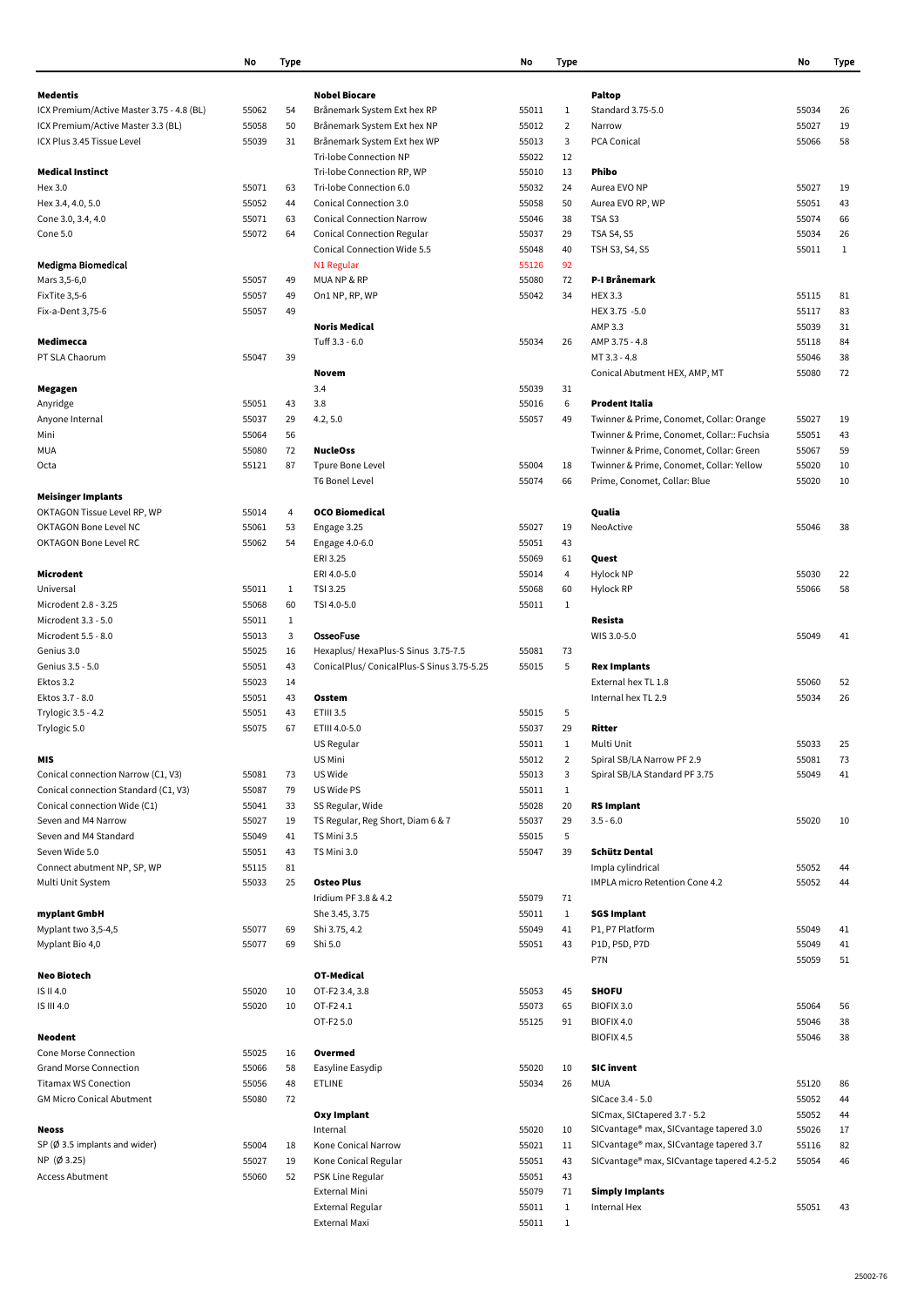|                                           | No    | <b>Type</b>  |                                                       | No             | <b>Type</b>    |                                             | No    | <b>Type</b> |
|-------------------------------------------|-------|--------------|-------------------------------------------------------|----------------|----------------|---------------------------------------------|-------|-------------|
|                                           |       |              |                                                       |                |                |                                             |       |             |
| <b>Medentis</b>                           |       |              | <b>Nobel Biocare</b>                                  |                |                | <b>Paltop</b>                               |       |             |
| ICX Premium/Active Master 3.75 - 4.8 (BL) | 55062 | 54           | Brånemark System Ext hex RP                           | 55011          | 1              | Standard 3.75-5.0                           | 55034 | 26          |
| ICX Premium/Active Master 3.3 (BL)        | 55058 | 50           | Brånemark System Ext hex NP                           | 55012          | $\overline{2}$ | Narrow                                      | 55027 | 19          |
| ICX Plus 3.45 Tissue Level                | 55039 | 31           | Brånemark System Ext hex WP<br>Tri-lobe Connection NP | 55013<br>55022 | 3<br>12        | PCA Conical                                 | 55066 | 58          |
| <b>Medical Instinct</b>                   |       |              | Tri-lobe Connection RP, WP                            | 55010          | 13             | <b>Phibo</b>                                |       |             |
| Hex 3.0                                   | 55071 | 63           | Tri-lobe Connection 6.0                               | 55032          | 24             | Aurea EVO NP                                | 55027 | 19          |
| Hex 3.4, 4.0, 5.0                         | 55052 | 44           | Conical Connection 3.0                                | 55058          | 50             | Aurea EVO RP, WP                            | 55051 | 43          |
| Cone 3.0, 3.4, 4.0                        | 55071 | 63           | <b>Conical Connection Narrow</b>                      | 55046          | 38             | TSA <sub>S3</sub>                           | 55074 | 66          |
| Cone 5.0                                  | 55072 | 64           | <b>Conical Connection Regular</b>                     | 55037          | 29             | <b>TSA S4, S5</b>                           | 55034 | 26          |
|                                           |       |              | <b>Conical Connection Wide 5.5</b>                    | 55048          | 40             | TSH S3, S4, S5                              | 55011 | 1           |
| <b>Medigma Biomedical</b>                 |       |              | N1 Regular                                            | 55126          | 92             |                                             |       |             |
| Mars 3,5-6,0                              | 55057 | 49           | MUANP&RP                                              | 55080          | 72             | P-I Brånemark                               |       |             |
| FixTite 3,5-6                             | 55057 | 49           | On1 NP, RP, WP                                        | 55042          | 34             | <b>HEX 3.3</b>                              | 55115 | 81          |
| Fix-a-Dent 3,75-6                         | 55057 | 49           |                                                       |                |                | HEX 3.75 -5.0                               | 55117 | 83          |
|                                           |       |              | <b>Noris Medical</b>                                  |                |                | AMP 3.3                                     | 55039 | 31          |
| Medimecca                                 |       |              | Tuff 3.3 - 6.0                                        | 55034          | 26             | AMP 3.75 - 4.8                              | 55118 | 84          |
| PT SLA Chaorum                            | 55047 | 39           |                                                       |                |                | MT 3.3 - 4.8                                | 55046 | 38          |
|                                           |       |              | Novem                                                 |                |                | Conical Abutment HEX, AMP, MT               | 55080 | 72          |
| Megagen                                   |       |              | 3.4                                                   | 55039          | 31             |                                             |       |             |
| Anyridge                                  | 55051 | 43           | 3.8                                                   | 55016          | 6              | Prodent Italia                              |       |             |
| Anyone Internal                           | 55037 | 29           | 4.2, 5.0                                              | 55057          | 49             | Twinner & Prime, Conomet, Collar: Orange    | 55027 | 19          |
| Mini                                      | 55064 | 56           |                                                       |                |                | Twinner & Prime, Conomet, Collar:: Fuchsia  | 55051 | 43          |
| MUA                                       | 55080 | 72           | <b>NucleOss</b>                                       |                |                | Twinner & Prime, Conomet, Collar: Green     | 55067 | 59          |
| Octa                                      | 55121 | 87           | Tpure Bone Level                                      | 55004          | 18             | Twinner & Prime, Conomet, Collar: Yellow    | 55020 | 10          |
|                                           |       |              | <b>T6 Bonel Level</b>                                 | 55074          | 66             | Prime, Conomet, Collar: Blue                | 55020 | 10          |
| <b>Meisinger Implants</b>                 |       |              |                                                       |                |                |                                             |       |             |
| OKTAGON Tissue Level RP, WP               | 55014 | 4            | <b>OCO Biomedical</b>                                 |                |                | Qualia                                      |       |             |
| <b>OKTAGON Bone Level NC</b>              | 55061 | 53           | Engage 3.25                                           | 55027          | 19             | NeoActive                                   | 55046 | 38          |
| <b>OKTAGON Bone Level RC</b>              | 55062 | 54           | Engage 4.0-6.0                                        | 55051          | 43             |                                             |       |             |
|                                           |       |              | ERI 3.25                                              | 55069          | 61             | Quest                                       |       |             |
| Microdent                                 |       |              | ERI 4.0-5.0                                           | 55014          | 4              | Hylock NP                                   | 55030 | 22          |
| Universal                                 | 55011 | $\mathbf{1}$ | TSI 3.25                                              | 55068          | 60             | Hylock RP                                   | 55066 | 58          |
| Microdent 2.8 - 3.25                      | 55068 | 60           | TSI 4.0-5.0                                           | 55011          | 1              |                                             |       |             |
| Microdent 3.3 - 5.0                       | 55011 | $\mathbf{1}$ |                                                       |                |                | Resista                                     |       |             |
| Microdent 5.5 - 8.0                       | 55013 | 3            | <b>OsseoFuse</b>                                      |                |                | WIS 3.0-5.0                                 | 55049 | 41          |
| Genius 3.0                                | 55025 | 16           | Hexaplus/HexaPlus-S Sinus 3.75-7.5                    | 55081          | 73             |                                             |       |             |
| Genius 3.5 - 5.0                          | 55051 | 43           | ConicalPlus/ConicalPlus-S Sinus 3.75-5.25             | 55015          | 5              | <b>Rex Implants</b>                         |       |             |
| Ektos 3.2                                 | 55023 | 14           |                                                       |                |                | External hex TL 1.8                         | 55060 | 52          |
| Ektos 3.7 - 8.0                           | 55051 | 43           | Osstem                                                |                |                | Internal hex TL 2.9                         | 55034 | 26          |
| Trylogic 3.5 - 4.2                        | 55051 | 43           | ETIII 3.5                                             | 55015          | 5              |                                             |       |             |
| Trylogic 5.0                              | 55075 | 67           | ETIII 4.0-5.0                                         | 55037          | 29             | Ritter                                      |       |             |
|                                           |       |              | US Regular                                            | 55011          | 1              | Multi Unit                                  | 55033 | 25          |
| <b>MIS</b>                                |       |              | US Mini                                               | 55012          | $\overline{2}$ | Spiral SB/LA Narrow PF 2.9                  | 55081 | 73          |
| Conical connection Narrow (C1, V3)        | 55081 | 73           | US Wide                                               | 55013          | 3              | Spiral SB/LA Standard PF 3.75               | 55049 | 41          |
| Conical connection Standard (C1, V3)      | 55087 | 79           | US Wide PS                                            | 55011          | $\mathbf{1}$   |                                             |       |             |
| Conical connection Wide (C1)              | 55041 | 33           | SS Regular, Wide                                      | 55028          | 20             | <b>RS Implant</b>                           |       |             |
| Seven and M4 Narrow                       | 55027 | 19           | TS Regular, Reg Short, Diam 6 & 7                     | 55037          | 29             | $3.5 - 6.0$                                 | 55020 | 10          |
| Seven and M4 Standard                     | 55049 | 41           | TS Mini 3.5                                           | 55015          | 5              |                                             |       |             |
| Seven Wide 5.0                            | 55051 | 43           | TS Mini 3.0                                           | 55047          | 39             | <b>Schütz Dental</b>                        |       |             |
| Connect abutment NP, SP, WP               | 55115 | 81           |                                                       |                |                | Impla cylindrical                           | 55052 | 44          |
| Multi Unit System                         | 55033 | 25           | <b>Osteo Plus</b>                                     |                |                | <b>IMPLA micro Retention Cone 4.2</b>       | 55052 | 44          |
|                                           |       |              | Iridium PF 3.8 & 4.2                                  | 55079          | 71             |                                             |       |             |
| myplant GmbH                              |       |              | She 3.45, 3.75                                        | 55011          | $\mathbf{1}$   | <b>SGS Implant</b>                          |       |             |
| Myplant two 3,5-4,5                       | 55077 | 69           | Shi 3.75, 4.2                                         | 55049          | 41             | P1, P7 Platform                             | 55049 | 41          |
| Myplant Bio 4,0                           | 55077 | 69           | Shi 5.0                                               | 55051          | 43             | P1D, P5D, P7D                               | 55049 | 41          |
|                                           |       |              |                                                       |                |                | P7N                                         | 55059 | 51          |
| <b>Neo Biotech</b>                        |       |              | <b>OT-Medical</b>                                     |                |                |                                             |       |             |
| IS II 4.0                                 | 55020 | 10           | OT-F2 3.4, 3.8                                        | 55053          | 45             | <b>SHOFU</b>                                |       |             |
| IS III 4.0                                | 55020 | 10           | OT-F24.1                                              | 55073          | 65             | BIOFIX 3.0                                  | 55064 | 56          |
|                                           |       |              | OT-F2 5.0                                             | 55125          | 91             | BIOFIX 4.0                                  | 55046 | 38          |
| <b>Neodent</b>                            |       |              |                                                       |                |                | BIOFIX 4.5                                  | 55046 | 38          |
| Cone Morse Connection                     | 55025 | 16           | Overmed                                               |                |                |                                             |       |             |
| <b>Grand Morse Connection</b>             | 55066 | 58           | Easyline Easydip                                      | 55020          | 10             | <b>SIC invent</b>                           |       |             |
| <b>Titamax WS Conection</b>               | 55056 | 48           | <b>ETLINE</b>                                         | 55034          | 26             | MUA                                         | 55120 | 86          |
| <b>GM Micro Conical Abutment</b>          | 55080 | 72           |                                                       |                |                | SICace 3.4 - 5.0                            | 55052 | 44          |
|                                           |       |              | <b>Oxy Implant</b>                                    |                |                | SICmax, SICtapered 3.7 - 5.2                | 55052 | 44          |
| <b>Neoss</b>                              |       |              | Internal                                              | 55020          | 10             | SICvantage® max, SICvantage tapered 3.0     | 55026 | 17          |
| SP $(\emptyset$ 3.5 implants and wider)   | 55004 | 18           | Kone Conical Narrow                                   | 55021          | 11             | SICvantage® max, SICvantage tapered 3.7     | 55116 | 82          |
| NP (Ø 3.25)                               | 55027 | 19           | Kone Conical Regular                                  | 55051          | 43             | SICvantage® max, SICvantage tapered 4.2-5.2 | 55054 | 46          |
| <b>Access Abutment</b>                    | 55060 | 52           | PSK Line Regular                                      | 55051          | 43             |                                             |       |             |
|                                           |       |              | <b>External Mini</b>                                  | 55079          | 71             | <b>Simply Implants</b><br>Internal Hex      |       |             |
|                                           |       |              | External Regular                                      | 55011          | 1              |                                             | 55051 | 43          |
|                                           |       |              | External Maxi                                         | 55011          | $\mathbf{1}$   |                                             |       |             |